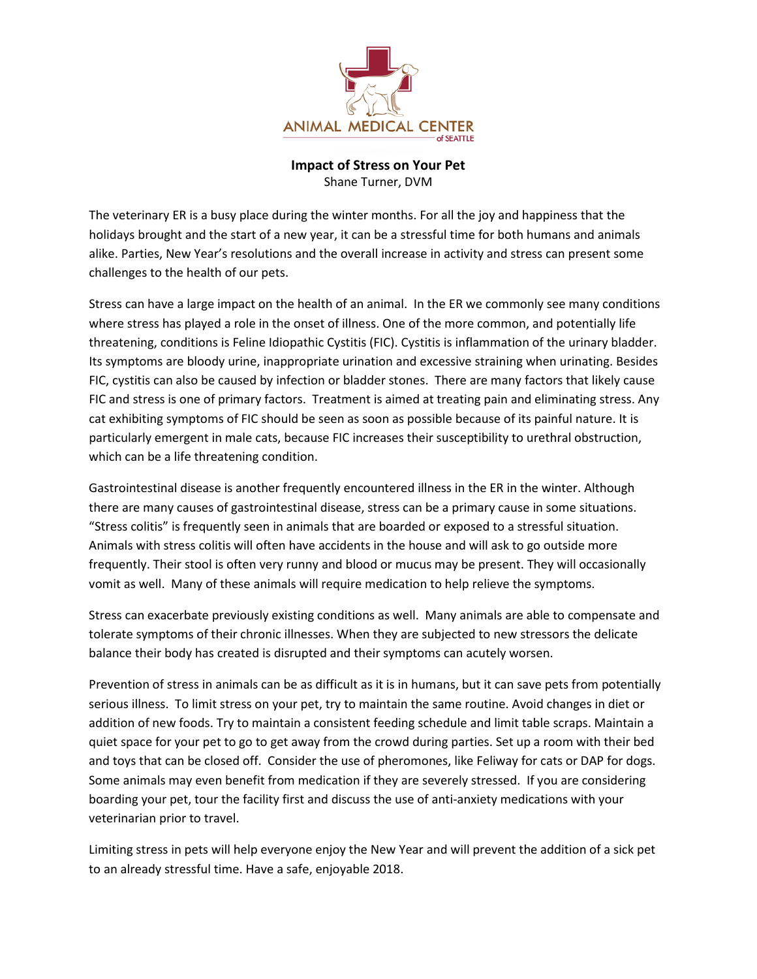

## **Impact of Stress on Your Pet** Shane Turner, DVM

The veterinary ER is a busy place during the winter months. For all the joy and happiness that the holidays brought and the start of a new year, it can be a stressful time for both humans and animals alike. Parties, New Year's resolutions and the overall increase in activity and stress can present some challenges to the health of our pets.

Stress can have a large impact on the health of an animal. In the ER we commonly see many conditions where stress has played a role in the onset of illness. One of the more common, and potentially life threatening, conditions is Feline Idiopathic Cystitis (FIC). Cystitis is inflammation of the urinary bladder. Its symptoms are bloody urine, inappropriate urination and excessive straining when urinating. Besides FIC, cystitis can also be caused by infection or bladder stones. There are many factors that likely cause FIC and stress is one of primary factors. Treatment is aimed at treating pain and eliminating stress. Any cat exhibiting symptoms of FIC should be seen as soon as possible because of its painful nature. It is particularly emergent in male cats, because FIC increases their susceptibility to urethral obstruction, which can be a life threatening condition.

Gastrointestinal disease is another frequently encountered illness in the ER in the winter. Although there are many causes of gastrointestinal disease, stress can be a primary cause in some situations. "Stress colitis" is frequently seen in animals that are boarded or exposed to a stressful situation. Animals with stress colitis will often have accidents in the house and will ask to go outside more frequently. Their stool is often very runny and blood or mucus may be present. They will occasionally vomit as well. Many of these animals will require medication to help relieve the symptoms.

Stress can exacerbate previously existing conditions as well. Many animals are able to compensate and tolerate symptoms of their chronic illnesses. When they are subjected to new stressors the delicate balance their body has created is disrupted and their symptoms can acutely worsen.

Prevention of stress in animals can be as difficult as it is in humans, but it can save pets from potentially serious illness. To limit stress on your pet, try to maintain the same routine. Avoid changes in diet or addition of new foods. Try to maintain a consistent feeding schedule and limit table scraps. Maintain a quiet space for your pet to go to get away from the crowd during parties. Set up a room with their bed and toys that can be closed off. Consider the use of pheromones, like Feliway for cats or DAP for dogs. Some animals may even benefit from medication if they are severely stressed. If you are considering boarding your pet, tour the facility first and discuss the use of anti-anxiety medications with your veterinarian prior to travel.

Limiting stress in pets will help everyone enjoy the New Year and will prevent the addition of a sick pet to an already stressful time. Have a safe, enjoyable 2018.